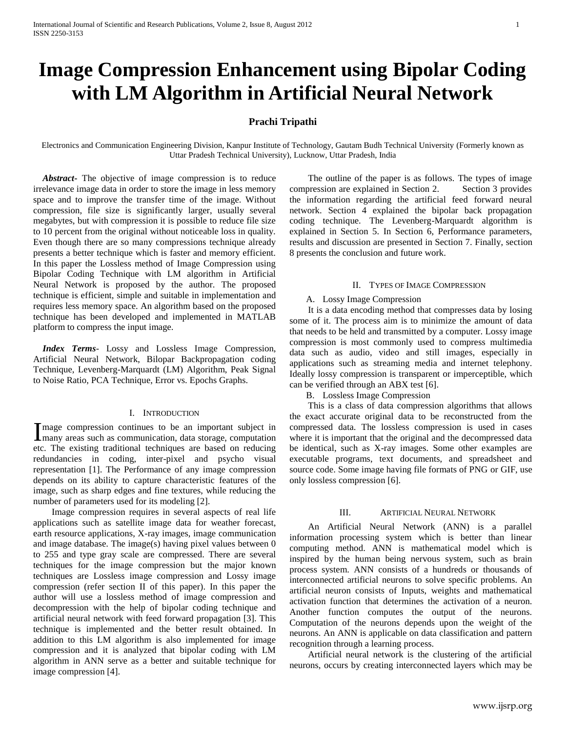# **Image Compression Enhancement using Bipolar Coding with LM Algorithm in Artificial Neural Network**

# **Prachi Tripathi**

Electronics and Communication Engineering Division, Kanpur Institute of Technology, Gautam Budh Technical University (Formerly known as Uttar Pradesh Technical University), Lucknow, Uttar Pradesh, India

 *Abstract***-** The objective of image compression is to reduce irrelevance image data in order to store the image in less memory space and to improve the transfer time of the image. Without compression, file size is significantly larger, usually several megabytes, but with compression it is possible to reduce file size to 10 percent from the original without noticeable loss in quality. Even though there are so many compressions technique already presents a better technique which is faster and memory efficient. In this paper the Lossless method of Image Compression using Bipolar Coding Technique with LM algorithm in Artificial Neural Network is proposed by the author. The proposed technique is efficient, simple and suitable in implementation and requires less memory space. An algorithm based on the proposed technique has been developed and implemented in MATLAB platform to compress the input image.

 *Index Terms*- Lossy and Lossless Image Compression, Artificial Neural Network, Bilopar Backpropagation coding Technique, Levenberg-Marquardt (LM) Algorithm, Peak Signal to Noise Ratio, PCA Technique, Error vs. Epochs Graphs.

# I. INTRODUCTION

mage compression continues to be an important subject in Image compression continues to be an important subject in many areas such as communication, data storage, computation etc. The existing traditional techniques are based on reducing redundancies in coding, inter-pixel and psycho visual representation [1]. The Performance of any image compression depends on its ability to capture characteristic features of the image, such as sharp edges and fine textures, while reducing the number of parameters used for its modeling [2].

 Image compression requires in several aspects of real life applications such as satellite image data for weather forecast, earth resource applications, X-ray images, image communication and image database. The image(s) having pixel values between 0 to 255 and type gray scale are compressed. There are several techniques for the image compression but the major known techniques are Lossless image compression and Lossy image compression (refer section II of this paper). In this paper the author will use a lossless method of image compression and decompression with the help of bipolar coding technique and artificial neural network with feed forward propagation [3]. This technique is implemented and the better result obtained. In addition to this LM algorithm is also implemented for image compression and it is analyzed that bipolar coding with LM algorithm in ANN serve as a better and suitable technique for image compression [4].

 The outline of the paper is as follows. The types of image compression are explained in Section 2. Section 3 provides the information regarding the artificial feed forward neural network. Section 4 explained the bipolar back propagation coding technique. The Levenberg-Marquardt algorithm is explained in Section 5. In Section 6, Performance parameters, results and discussion are presented in Section 7. Finally, section 8 presents the conclusion and future work.

## II. TYPES OF IMAGE COMPRESSION

# A. Lossy Image Compression

 It is a data encoding method that compresses data by losing some of it. The process aim is to minimize the amount of data that needs to be held and transmitted by a computer. Lossy image compression is most commonly used to compress multimedia data such as audio, video and still images, especially in applications such as streaming media and internet telephony. Ideally lossy compression is transparent or imperceptible, which can be verified through an ABX test [6].

B. Lossless Image Compression

 This is a class of data compression algorithms that allows the exact accurate original data to be reconstructed from the compressed data. The lossless compression is used in cases where it is important that the original and the decompressed data be identical, such as X-ray images. Some other examples are executable programs, text documents, and spreadsheet and source code. Some image having file formats of PNG or GIF, use only lossless compression [6].

# III. ARTIFICIAL NEURAL NETWORK

 An Artificial Neural Network (ANN) is a parallel information processing system which is better than linear computing method. ANN is mathematical model which is inspired by the human being nervous system, such as brain process system. ANN consists of a hundreds or thousands of interconnected artificial neurons to solve specific problems. An artificial neuron consists of Inputs, weights and mathematical activation function that determines the activation of a neuron. Another function computes the output of the neurons. Computation of the neurons depends upon the weight of the neurons. An ANN is applicable on data classification and pattern recognition through a learning process.

 Artificial neural network is the clustering of the artificial neurons, occurs by creating interconnected layers which may be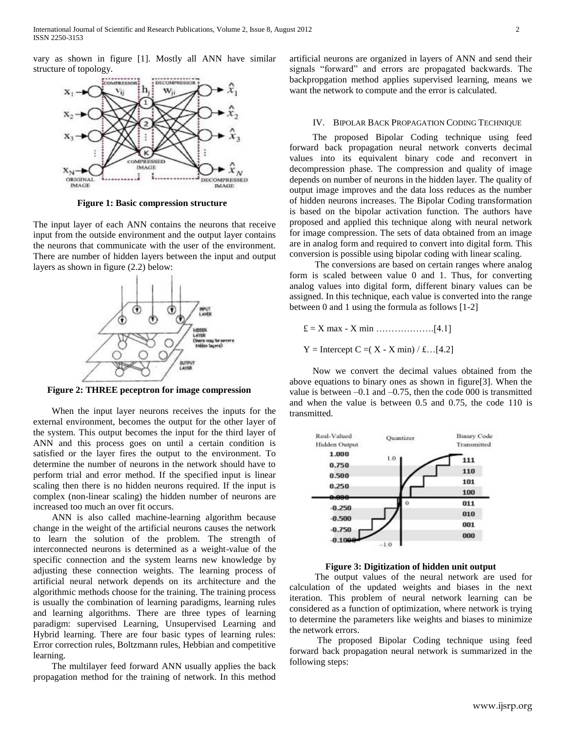vary as shown in figure [1]. Mostly all ANN have similar structure of topology.



**Figure 1: Basic compression structure**

The input layer of each ANN contains the neurons that receive input from the outside environment and the output layer contains the neurons that communicate with the user of the environment. There are number of hidden layers between the input and output layers as shown in figure (2.2) below:



**Figure 2: THREE peceptron for image compression**

 When the input layer neurons receives the inputs for the external environment, becomes the output for the other layer of the system. This output becomes the input for the third layer of ANN and this process goes on until a certain condition is satisfied or the layer fires the output to the environment. To determine the number of neurons in the network should have to perform trial and error method. If the specified input is linear scaling then there is no hidden neurons required. If the input is complex (non-linear scaling) the hidden number of neurons are increased too much an over fit occurs.

 ANN is also called machine-learning algorithm because change in the weight of the artificial neurons causes the network to learn the solution of the problem. The strength of interconnected neurons is determined as a weight-value of the specific connection and the system learns new knowledge by adjusting these connection weights. The learning process of artificial neural network depends on its architecture and the algorithmic methods choose for the training. The training process is usually the combination of learning paradigms, learning rules and learning algorithms. There are three types of learning paradigm: supervised Learning, Unsupervised Learning and Hybrid learning. There are four basic types of learning rules: Error correction rules, Boltzmann rules, Hebbian and competitive learning.

 The multilayer feed forward ANN usually applies the back propagation method for the training of network. In this method artificial neurons are organized in layers of ANN and send their signals "forward" and errors are propagated backwards. The backpropgation method applies supervised learning, means we want the network to compute and the error is calculated.

# IV. BIPOLAR BACK PROPAGATION CODING TECHNIQUE

 The proposed Bipolar Coding technique using feed forward back propagation neural network converts decimal values into its equivalent binary code and reconvert in decompression phase. The compression and quality of image depends on number of neurons in the hidden layer. The quality of output image improves and the data loss reduces as the number of hidden neurons increases. The Bipolar Coding transformation is based on the bipolar activation function. The authors have proposed and applied this technique along with neural network for image compression. The sets of data obtained from an image are in analog form and required to convert into digital form. This conversion is possible using bipolar coding with linear scaling.

 The conversions are based on certain ranges where analog form is scaled between value 0 and 1. Thus, for converting analog values into digital form, different binary values can be assigned. In this technique, each value is converted into the range between 0 and 1 using the formula as follows [1-2]

£ = X max - X min ……………….[4.1]

 $Y = \text{Intercept C} = (X - X \text{ min}) / \pounds ... [4.2]$ 

 Now we convert the decimal values obtained from the above equations to binary ones as shown in figure[3]. When the value is between  $-0.1$  and  $-0.75$ , then the code 000 is transmitted and when the value is between 0.5 and 0.75, the code 110 is transmitted.



**Figure 3: Digitization of hidden unit output**

 The output values of the neural network are used for calculation of the updated weights and biases in the next iteration. This problem of neural network learning can be considered as a function of optimization, where network is trying to determine the parameters like weights and biases to minimize the network errors.

 The proposed Bipolar Coding technique using feed forward back propagation neural network is summarized in the following steps: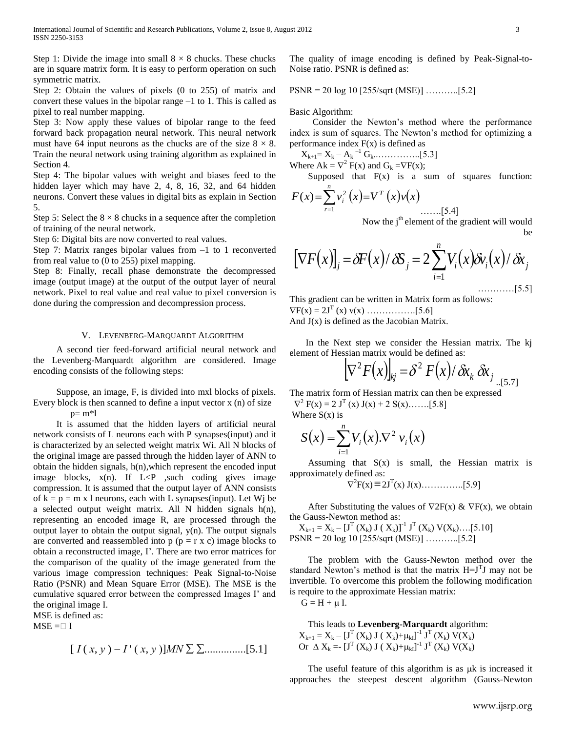Step 1: Divide the image into small  $8 \times 8$  chucks. These chucks are in square matrix form. It is easy to perform operation on such symmetric matrix.

Step 2: Obtain the values of pixels (0 to 255) of matrix and convert these values in the bipolar range –1 to 1. This is called as pixel to real number mapping.

Step 3: Now apply these values of bipolar range to the feed forward back propagation neural network. This neural network must have 64 input neurons as the chucks are of the size  $8 \times 8$ . Train the neural network using training algorithm as explained in Section 4.

Step 4: The bipolar values with weight and biases feed to the hidden layer which may have 2, 4, 8, 16, 32, and 64 hidden neurons. Convert these values in digital bits as explain in Section 5.

Step 5: Select the  $8 \times 8$  chucks in a sequence after the completion of training of the neural network.

Step 6: Digital bits are now converted to real values.

Step 7: Matrix ranges bipolar values from –1 to 1 reconverted from real value to (0 to 255) pixel mapping.

Step 8: Finally, recall phase demonstrate the decompressed image (output image) at the output of the output layer of neural network. Pixel to real value and real value to pixel conversion is done during the compression and decompression process.

# V. LEVENBERG-MARQUARDT ALGORITHM

 A second tier feed-forward artificial neural network and the Levenberg-Marquardt algorithm are considered. Image encoding consists of the following steps:

 Suppose, an image, F, is divided into mxl blocks of pixels. Every block is then scanned to define a input vector x (n) of size

 $p=m*1$ 

 It is assumed that the hidden layers of artificial neural network consists of L neurons each with P synapses(input) and it is characterized by an selected weight matrix Wi. All N blocks of the original image are passed through the hidden layer of ANN to obtain the hidden signals, h(n),which represent the encoded input image blocks,  $x(n)$ . If  $L < P$  , such coding gives image compression. It is assumed that the output layer of ANN consists of  $k = p = m x$  l neurons, each with L synapses(input). Let Wj be a selected output weight matrix. All N hidden signals h(n), representing an encoded image R, are processed through the output layer to obtain the output signal,  $y(n)$ . The output signals are converted and reassembled into  $p (p = r x c)$  image blocks to obtain a reconstructed image, I'. There are two error matrices for the comparison of the quality of the image generated from the various image compression techniques: Peak Signal-to-Noise Ratio (PSNR) and Mean Square Error (MSE). The MSE is the cumulative squared error between the compressed Images I' and the original image I.

MSE is defined as:

 $MSE = \Box I$ 

$$
[I(x, y) - I'(x, y)]MN \sum \sum \dots \dots \dots [5.1]
$$

The quality of image encoding is defined by Peak-Signal-to-Noise ratio. PSNR is defined as:

PSNR = 20 log 10 [255/sqrt (MSE)] ………..[5.2]

Basic Algorithm:

 Consider the Newton's method where the performance index is sum of squares. The Newton's method for optimizing a performance index  $F(x)$  is defined as

Xk+1= X<sup>k</sup> – A<sup>k</sup> –1 Gk..…………..[5.3]

Where  $Ak = \nabla^2 F(x)$  and  $G_k = \nabla F(x)$ ; Supposed that  $F(x)$  is a sum of squares function:

$$
F(x) = \sum_{r=1}^{n} v_i^2 (x) = V^T (x) v(x)
$$
  
Now the j<sup>th</sup> element of the gradient will would

be

$$
[\nabla F(x)]_j = \delta F(x) / \delta S_j = 2 \sum_{i=1}^n V_i(x) \delta v_i(x) / \delta x_j
$$

This gradient can be written in Matrix form as follows:  $\nabla F(x) = 2J^{T}(x) v(x) \dots \dots \dots \dots [5.6]$ And  $J(x)$  is defined as the Jacobian Matrix.

 In the Next step we consider the Hessian matrix. The kj element of Hessian matrix would be defined as:

$$
\left[\nabla^2 F(x)\right]_{kj} = \delta^2 F(x)/\delta x_k \, \delta x_j \big]_{\text{I}, \text{I}, \text{I}}
$$

The matrix form of Hessian matrix can then be expressed

 $\nabla^2$  F(x) = 2 J<sup>T</sup> (x) J(x) + 2 S(x)........[5.8] Where  $S(x)$  is

$$
S(x) = \sum_{i=1}^{n} V_i(x). \nabla^2 v_i(x)
$$

Assuming that  $S(x)$  is small, the Hessian matrix is approximately defined as:

$$
\nabla^2 F(x) \equiv 2J^T(x) J(x) \dots \dots \dots [5.9]
$$

After Substituting the values of  $\nabla 2F(x) \& \nabla F(x)$ , we obtain the Gauss-Newton method as:

 $X_{k+1} = X_k - [J^T(X_k) J(X_k)]^{-1} J^T(X_k) V(X_k) \dots [5.10]$ PSNR = 20 log 10 [255/sqrt (MSE)] ………..[5.2]

 The problem with the Gauss-Newton method over the standard Newton's method is that the matrix  $H=J<sup>T</sup>J$  may not be invertible. To overcome this problem the following modification is require to the approximate Hessian matrix:

 $G = H + \mu I$ .

 This leads to **Levenberg-Marquardt** algorithm:  $X_{k+1} = X_k - \left[J^T(X_k) J(X_k) + \mu_{kI}\right]^{-1} J^T(X_k) V(X_k)$ Or  $\Delta X_k = [J^T(X_k) J(X_k) + \mu_{kl}]^{-1} J^T(X_k) V(X_k)$ 

The useful feature of this algorithm is as  $\mu$ k is increased it approaches the steepest descent algorithm (Gauss-Newton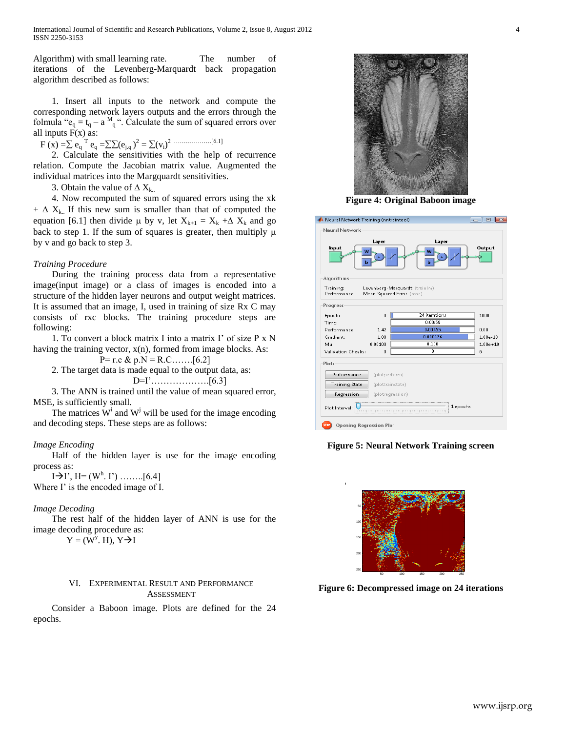International Journal of Scientific and Research Publications, Volume 2, Issue 8, August 2012 4 ISSN 2250-3153

Algorithm) with small learning rate. The number of iterations of the Levenberg-Marquardt back propagation algorithm described as follows:

 1. Insert all inputs to the network and compute the corresponding network layers outputs and the errors through the folmula " $e_q = t_q - a_{q}^M$ ". Calculate the sum of squared errors over all inputs  $F(x)$  as:

 $F(x) = \sum e_q^T e_q = \sum (e_{j,q})^2 = \sum (v_i)^2$  ……………....[6.1]

 2. Calculate the sensitivities with the help of recurrence relation. Compute the Jacobian matrix value. Augmented the individual matrices into the Margquardt sensitivities.

3. Obtain the value of  $\Delta X_{k...}$ 

 4. Now recomputed the sum of squared errors using the xk  $+ \Delta X_{k}$ . If this new sum is smaller than that of computed the equation [6.1] then divide  $\mu$  by v, let  $X_{k+1} = X_k + \Delta X_k$  and go back to step 1. If the sum of squares is greater, then multiply  $\mu$ by v and go back to step 3.

## *Training Procedure*

 During the training process data from a representative image(input image) or a class of images is encoded into a structure of the hidden layer neurons and output weight matrices. It is assumed that an image, I, used in training of size Rx C may consists of rxc blocks. The training procedure steps are following:

 1. To convert a block matrix I into a matrix I' of size P x N having the training vector,  $x(n)$ , formed from image blocks. As:

P= r.c & p.N = R.C……. [6.2]

2. The target data is made equal to the output data, as:

D=I'……………….[6.3]

 3. The ANN is trained until the value of mean squared error, MSE, is sufficiently small.

The matrices  $W^i$  and  $W^j$  will be used for the image encoding and decoding steps. These steps are as follows:

#### *Image Encoding*

 Half of the hidden layer is use for the image encoding process as:

 $I \rightarrow I'$ , H= (W<sup>h</sup>. I') ……...[6.4] Where I' is the encoded image of I.

#### *Image Decoding*

 The rest half of the hidden layer of ANN is use for the image decoding procedure as:

 $Y = (W^{\overline{y}}. H), Y \rightarrow I$ 

# VI. EXPERIMENTAL RESULT AND PERFORMANCE ASSESSMENT

 Consider a Baboon image. Plots are defined for the 24 epochs.



**Figure 4: Original Baboon image**

| Neural Network Training (nntraintool)  | 同                |                                                           |              |  |  |
|----------------------------------------|------------------|-----------------------------------------------------------|--------------|--|--|
| Neural Network                         |                  |                                                           |              |  |  |
| <b>Input</b><br>W<br>ь                 | Layer            | Layer<br>W<br>ь                                           | Output       |  |  |
| Algorithms                             |                  |                                                           |              |  |  |
| Training:<br>Performance:<br>Progress  |                  | Levenberg-Marquardt (trainlm)<br>Mean Squared Error (mse) |              |  |  |
| Epoch:                                 | 0                | 24 iterations                                             | 1000         |  |  |
| Time:                                  |                  | 0:00:59                                                   |              |  |  |
| Performance:                           | 1.42             | 0.00455                                                   | 0.00         |  |  |
| Gradient:                              | 1.00             | 0.000176                                                  | $1.00e - 10$ |  |  |
| Mu:                                    | 0.00100          | 0.100                                                     | $1.00e + 10$ |  |  |
| Validation Checks:                     | n.               | n                                                         | б            |  |  |
| Plots                                  |                  |                                                           |              |  |  |
| Performance                            | (plotperform)    |                                                           |              |  |  |
| <b>Training State</b>                  | (plottrainstate) |                                                           |              |  |  |
| Regression                             |                  | (plotregression)                                          |              |  |  |
| Plot Interval:                         |                  | 1 epochs                                                  |              |  |  |
| Opening Regression Plo-<br><b>STOP</b> |                  |                                                           |              |  |  |

**Figure 5: Neural Network Training screen**



**Figure 6: Decompressed image on 24 iterations**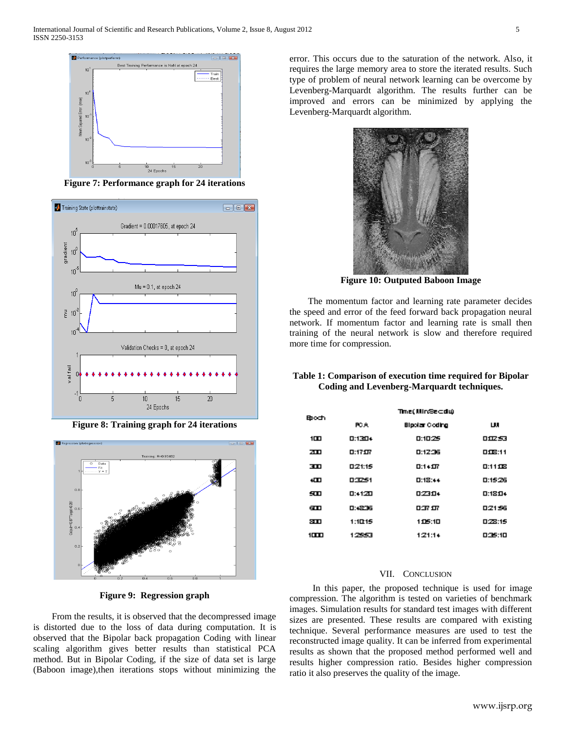

**Figure 7: Performance graph for 24 iterations**



**Figure 8: Training graph for 24 iterations**



**Figure 9: Regression graph**

 From the results, it is observed that the decompressed image is distorted due to the loss of data during computation. It is observed that the Bipolar back propagation Coding with linear scaling algorithm gives better results than statistical PCA method. But in Bipolar Coding, if the size of data set is large (Baboon image),then iterations stops without minimizing the

error. This occurs due to the saturation of the network. Also, it requires the large memory area to store the iterated results. Such type of problem of neural network learning can be overcome by Levenberg-Marquardt algorithm. The results further can be improved and errors can be minimized by applying the Levenberg-Marquardt algorithm.



**Figure 10: Outputed Baboon Image**

 The momentum factor and learning rate parameter decides the speed and error of the feed forward back propagation neural network. If momentum factor and learning rate is small then training of the neural network is slow and therefore required more time for compression.

# **Table 1: Comparison of execution time required for Bipolar Coding and Levenberg-Marquardt techniques.**

| ඖරත  |               | Time(Min®e⊂du) |           |
|------|---------------|----------------|-----------|
|      | PC A          | Bipolar Coding | ш         |
| 100  | <b>D:1304</b> | 0:10:25        | 血豆虫       |
| zп   | 0:1717        | 0:12:36        | 008:11    |
| m    | 0:21:15       | $0:1*1T$       | 0:11138   |
| ŧШ   | 03251         | 0:18:44        | 0:15:26   |
| 5m   | 0:4120        | 0.2304         | $0:1810*$ |
| டை   | 0:4836        | 四尔尔            | 02156     |
| ள    | 1:10:15       | 105:10         | 0:28:15   |
| 1000 | 12353         | 1:21:14        | 036:10    |

# VII. CONCLUSION

 In this paper, the proposed technique is used for image compression. The algorithm is tested on varieties of benchmark images. Simulation results for standard test images with different sizes are presented. These results are compared with existing technique. Several performance measures are used to test the reconstructed image quality. It can be inferred from experimental results as shown that the proposed method performed well and results higher compression ratio. Besides higher compression ratio it also preserves the quality of the image.